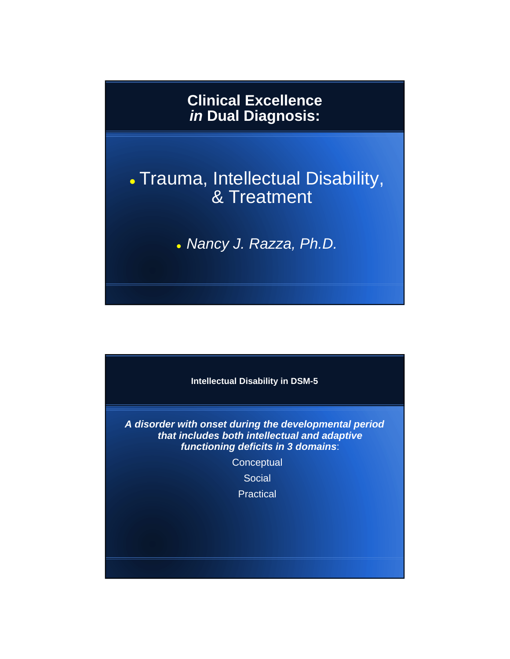# **Clinical Excellence**  *in* **Dual Diagnosis:**

# Trauma, Intellectual Disability, & Treatment

*Nancy J. Razza, Ph.D.*

**Intellectual Disability in DSM-5**

*A disorder with onset during the developmental period that includes both intellectual and adaptive functioning deficits in 3 domains*:

**Conceptual** 

**Social** 

**Practical**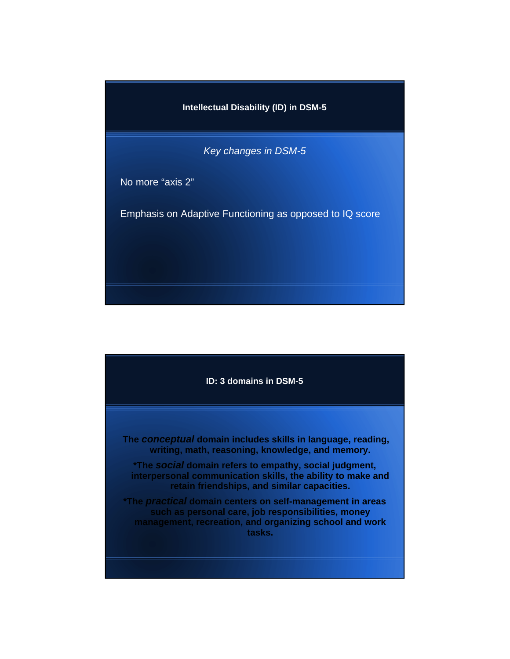**Intellectual Disability (ID) in DSM-5**

*Key changes in DSM-5*

No more "axis 2"

Emphasis on Adaptive Functioning as opposed to IQ score

**ID: 3 domains in DSM-5**

**The** *conceptual* **domain includes skills in language, reading, writing, math, reasoning, knowledge, and memory.**

**\*The** *social* **domain refers to empathy, social judgment, interpersonal communication skills, the ability to make and retain friendships, and similar capacities.**

**\*The** *practical* **domain centers on self-management in areas such as personal care, job responsibilities, money management, recreation, and organizing school and work tasks.**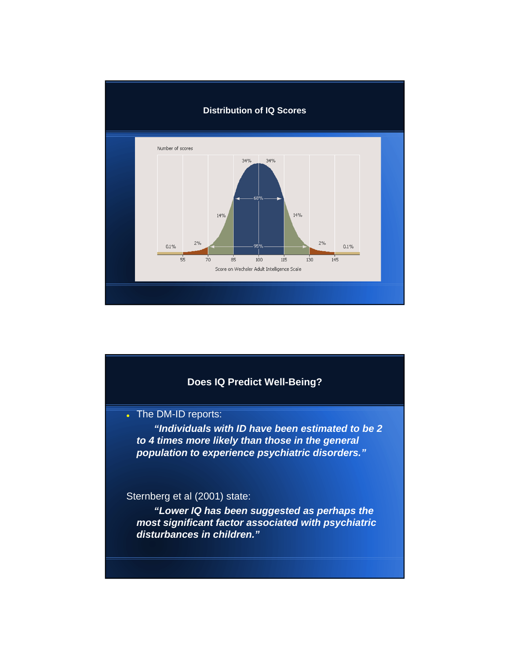

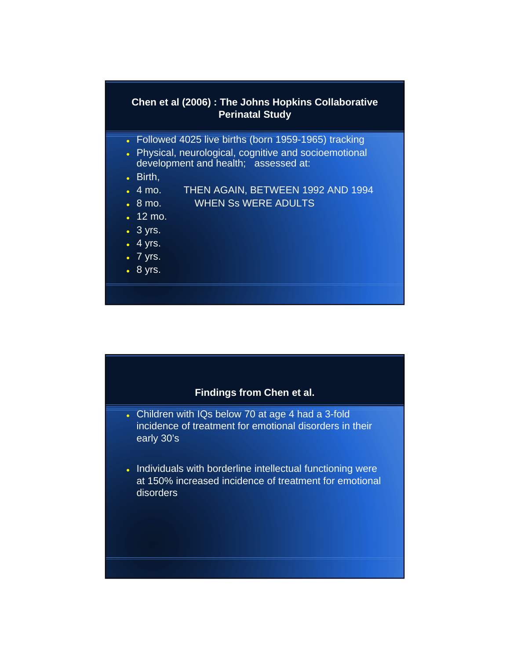# **Chen et al (2006) : The Johns Hopkins Collaborative Perinatal Study**

- Followed 4025 live births (born 1959-1965) tracking
- Physical, neurological, cognitive and socioemotional development and health; assessed at:
- Birth,
- 4 mo. THEN AGAIN, BETWEEN 1992 AND 1994
- 8 mo. WHEN Ss WERE ADULTS
- 12 mo.
- 3 yrs.
- $-4$  yrs.
- $\bullet$  7 yrs.
- 8 yrs.

# **Findings from Chen et al.**

- Children with IQs below 70 at age 4 had a 3-fold incidence of treatment for emotional disorders in their early 30's
- . Individuals with borderline intellectual functioning were at 150% increased incidence of treatment for emotional disorders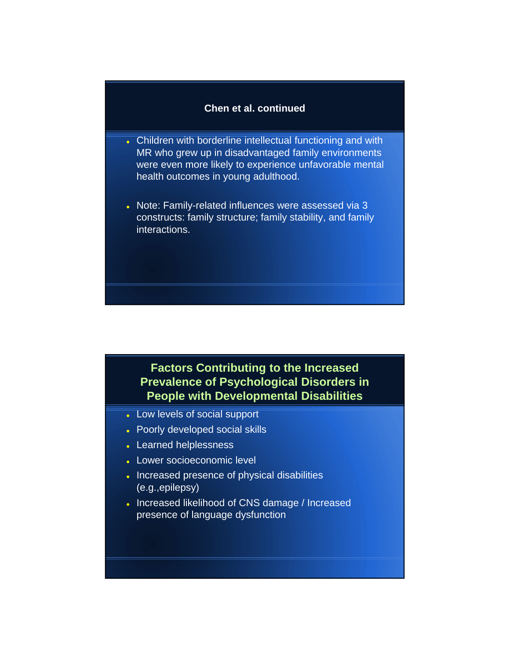## **Chen et al. continued**

- Children with borderline intellectual functioning and with MR who grew up in disadvantaged family environments were even more likely to experience unfavorable mental health outcomes in young adulthood.
- . Note: Family-related influences were assessed via 3 constructs: family structure; family stability, and family interactions.

# **Factors Contributing to the Increased Prevalence of Psychological Disorders in People with Developmental Disabilities**

- Low levels of social support
- Poorly developed social skills
- Learned helplessness
- Lower socioeconomic level
- . Increased presence of physical disabilities (e.g.,epilepsy)
- Increased likelihood of CNS damage / Increased presence of language dysfunction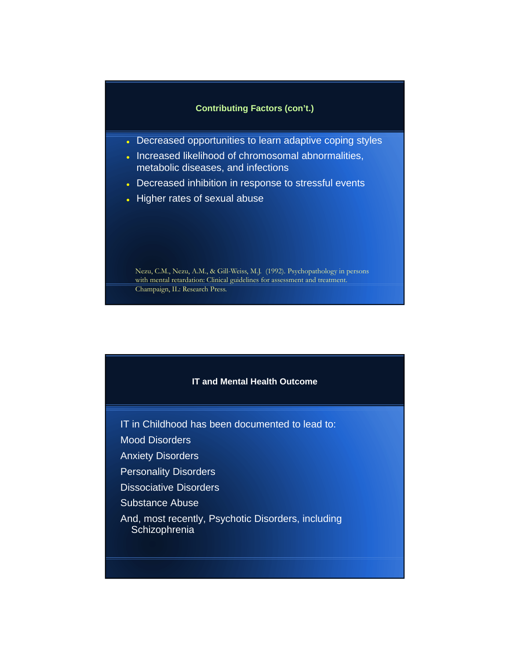### **Contributing Factors (con't.)**

- **.** Decreased opportunities to learn adaptive coping styles
- . Increased likelihood of chromosomal abnormalities, metabolic diseases, and infections
- Decreased inhibition in response to stressful events
- Higher rates of sexual abuse

Nezu, C.M., Nezu, A.M., & Gill-Weiss, M.J. (1992). Psychopathology in persons with mental retardation: Clinical guidelines for assessment and treatment. Champaign, IL: Research Press.

### **IT and Mental Health Outcome**

- IT in Childhood has been documented to lead to:
- Mood Disorders
- Anxiety Disorders
- Personality Disorders
- Dissociative Disorders
- Substance Abuse
- And, most recently, Psychotic Disorders, including **Schizophrenia**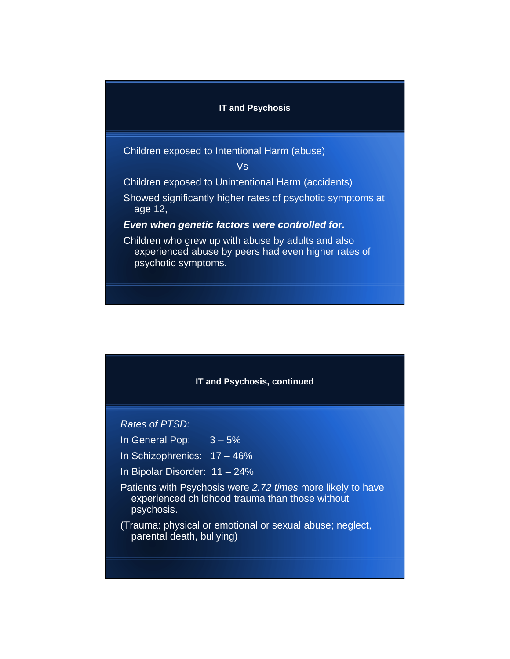### **IT and Psychosis**

Children exposed to Intentional Harm (abuse)

Vs

Children exposed to Unintentional Harm (accidents)

Showed significantly higher rates of psychotic symptoms at age 12,

## *Even when genetic factors were controlled for.*

Children who grew up with abuse by adults and also experienced abuse by peers had even higher rates of psychotic symptoms.



*Rates of PTSD:*

In General Pop:  $3 - 5%$ 

- In Schizophrenics: 17 46%
- In Bipolar Disorder: 11 24%
- Patients with Psychosis were *2.72 times* more likely to have experienced childhood trauma than those without psychosis.
- (Trauma: physical or emotional or sexual abuse; neglect, parental death, bullying)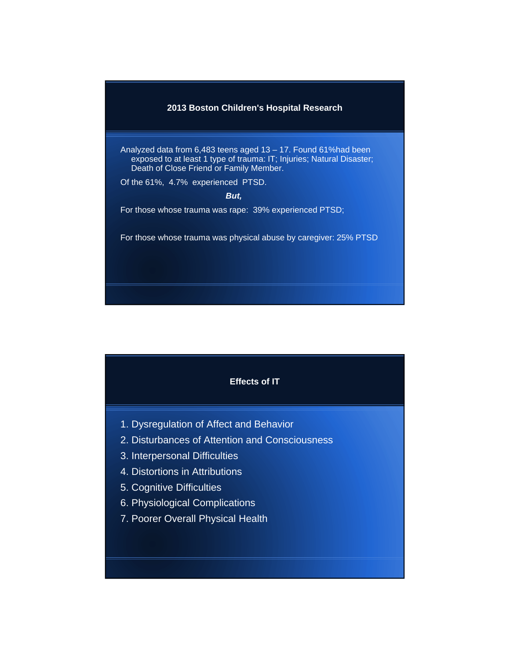

Analyzed data from 6,483 teens aged 13 – 17. Found 61%had been exposed to at least 1 type of trauma: IT; Injuries; Natural Disaster; Death of Close Friend or Family Member.

Of the 61%, 4.7% experienced PTSD.

*But,*

For those whose trauma was rape: 39% experienced PTSD;

For those whose trauma was physical abuse by caregiver: 25% PTSD



- 1. Dysregulation of Affect and Behavior
- 2. Disturbances of Attention and Consciousness
- 3. Interpersonal Difficulties
- 4. Distortions in Attributions
- 5. Cognitive Difficulties
- 6. Physiological Complications
- 7. Poorer Overall Physical Health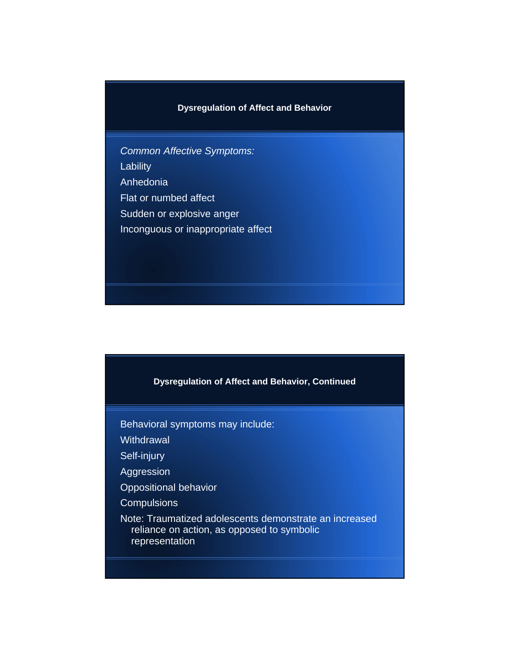# **Dysregulation of Affect and Behavior**

*Common Affective Symptoms:* Lability Anhedonia Flat or numbed affect Sudden or explosive anger Inconguous or inappropriate affect

**Dysregulation of Affect and Behavior, Continued**

Behavioral symptoms may include:

**Withdrawal** 

Self-injury

Aggression

Oppositional behavior

**Compulsions** 

Note: Traumatized adolescents demonstrate an increased reliance on action, as opposed to symbolic representation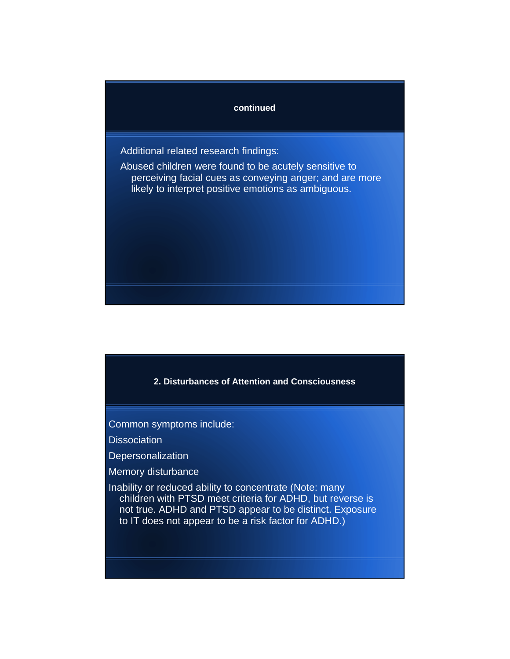### **continued**

Additional related research findings:

Abused children were found to be acutely sensitive to perceiving facial cues as conveying anger; and are more likely to interpret positive emotions as ambiguous.

**2. Disturbances of Attention and Consciousness**

Common symptoms include:

**Dissociation** 

**Depersonalization** 

Memory disturbance

Inability or reduced ability to concentrate (Note: many children with PTSD meet criteria for ADHD, but reverse is not true. ADHD and PTSD appear to be distinct. Exposure to IT does not appear to be a risk factor for ADHD.)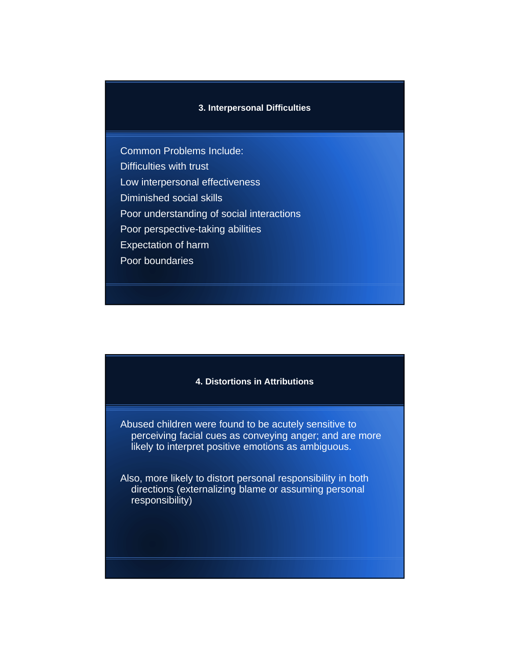#### **3. Interpersonal Difficulties**

Common Problems Include: Difficulties with trust Low interpersonal effectiveness Diminished social skills Poor understanding of social interactions Poor perspective-taking abilities Expectation of harm Poor boundaries

#### **4. Distortions in Attributions**

Abused children were found to be acutely sensitive to perceiving facial cues as conveying anger; and are more likely to interpret positive emotions as ambiguous.

Also, more likely to distort personal responsibility in both directions (externalizing blame or assuming personal responsibility)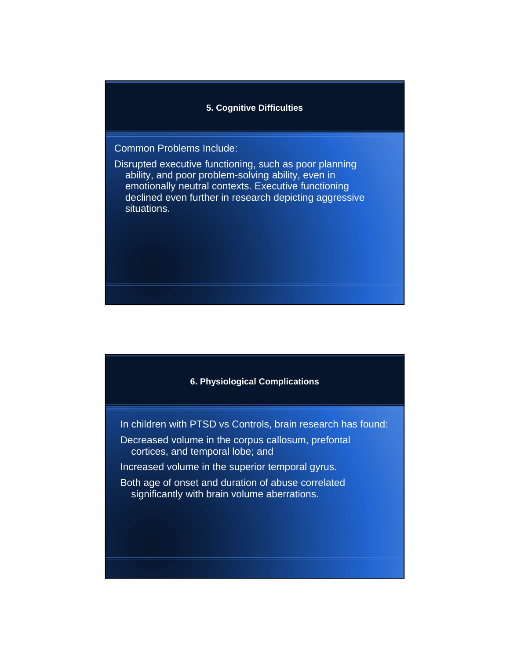### **5. Cognitive Difficulties**

# Common Problems Include:

Disrupted executive functioning, such as poor planning ability, and poor problem-solving ability, even in emotionally neutral contexts. Executive functioning declined even further in research depicting aggressive situations.



In children with PTSD vs Controls, brain research has found:

- Decreased volume in the corpus callosum, prefontal cortices, and temporal lobe; and
- Increased volume in the superior temporal gyrus.
- Both age of onset and duration of abuse correlated significantly with brain volume aberrations.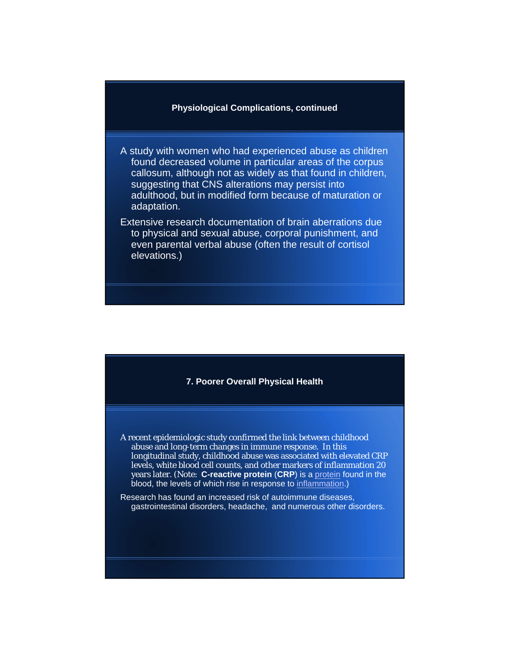#### **Physiological Complications, continued**

- A study with women who had experienced abuse as children found decreased volume in particular areas of the corpus callosum, although not as widely as that found in children, suggesting that CNS alterations may persist into adulthood, but in modified form because of maturation or adaptation.
- Extensive research documentation of brain aberrations due to physical and sexual abuse, corporal punishment, and even parental verbal abuse (often the result of cortisol elevations.)



- A recent epidemiologic study confirmed the link between childhood abuse and long-term changes in immune response. In this longitudinal study, childhood abuse was associated with elevated CRP levels, white blood cell counts, and other markers of inflammation 20 years later. (Note: **C-reactive protein** (**CRP**) is a protein found in the blood, the levels of which rise in response to inflammation.)
- Research has found an increased risk of autoimmune diseases, gastrointestinal disorders, headache, and numerous other disorders.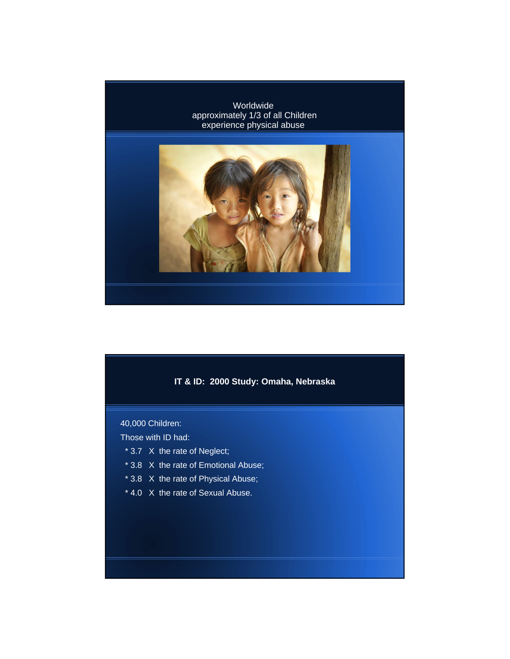

# **IT & ID: 2000 Study: Omaha, Nebraska**

## 40,000 Children:

## Those with ID had:

- \* 3.7 X the rate of Neglect;
- \* 3.8 X the rate of Emotional Abuse;
- \* 3.8 X the rate of Physical Abuse;
- \* 4.0 X the rate of Sexual Abuse.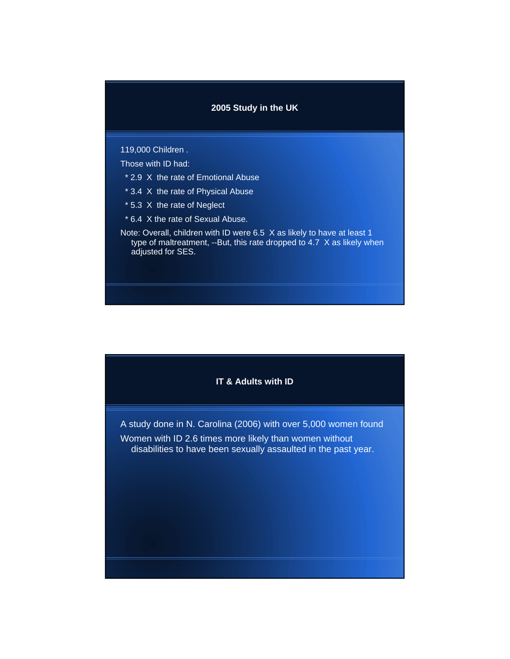#### **2005 Study in the UK**

#### 119,000 Children .

- Those with ID had:
- \* 2.9 X the rate of Emotional Abuse
- \* 3.4 X the rate of Physical Abuse
- \* 5.3 X the rate of Neglect
- \* 6.4 X the rate of Sexual Abuse.
- Note: Overall, children with ID were 6.5 X as likely to have at least 1 type of maltreatment, --But, this rate dropped to 4.7 X as likely when adjusted for SES.

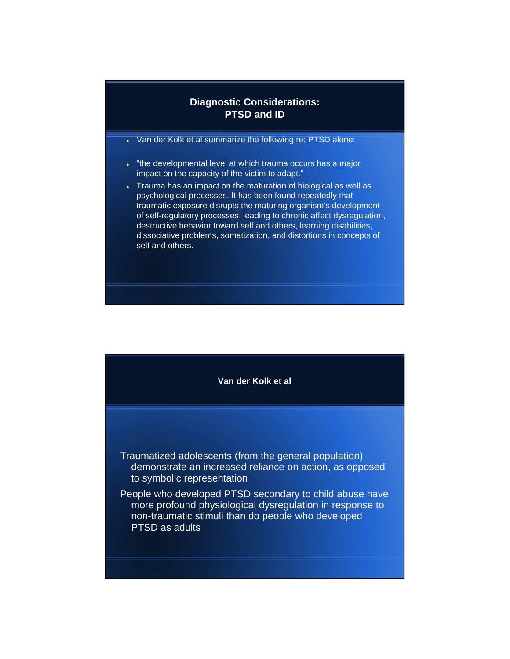# **Diagnostic Considerations: PTSD and ID**

- Van der Kolk et al summarize the following re: PTSD alone:
- . "the developmental level at which trauma occurs has a major impact on the capacity of the victim to adapt."
- . Trauma has an impact on the maturation of biological as well as psychological processes. It has been found repeatedly that traumatic exposure disrupts the maturing organism's development of self-regulatory processes, leading to chronic affect dysregulation, destructive behavior toward self and others, learning disabilities, dissociative problems, somatization, and distortions in concepts of self and others.

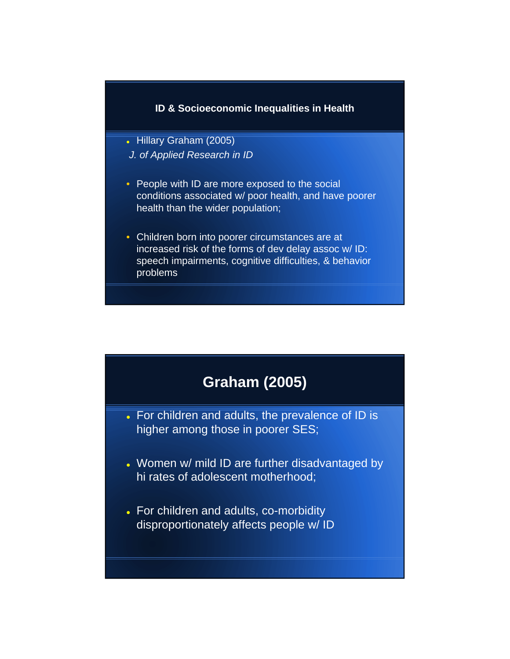## **ID & Socioeconomic Inequalities in Health**

- Hillary Graham (2005) *J. of Applied Research in ID*
- People with ID are more exposed to the social conditions associated w/ poor health, and have poorer health than the wider population;
- Children born into poorer circumstances are at increased risk of the forms of dev delay assoc w/ ID: speech impairments, cognitive difficulties, & behavior problems

# **Graham (2005)**

- For children and adults, the prevalence of ID is higher among those in poorer SES;
- Women w/ mild ID are further disadvantaged by hi rates of adolescent motherhood;
- For children and adults, co-morbidity disproportionately affects people w/ ID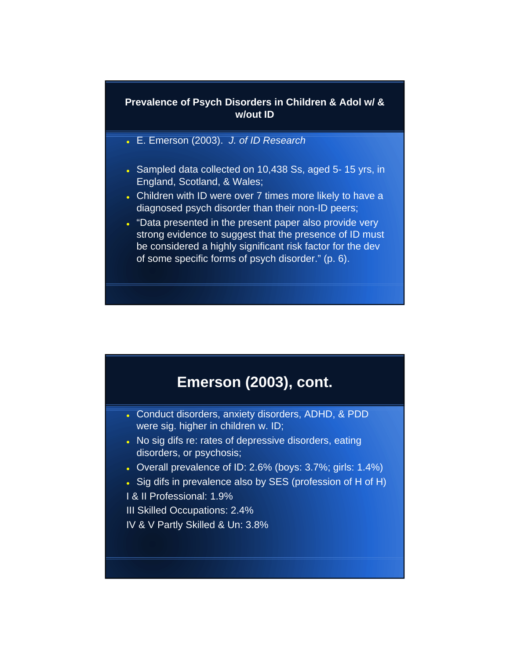# **Prevalence of Psych Disorders in Children & Adol w/ & w/out ID**

- E. Emerson (2003). *J. of ID Research*
- Sampled data collected on 10,438 Ss, aged 5-15 yrs, in England, Scotland, & Wales;
- Children with ID were over 7 times more likely to have a diagnosed psych disorder than their non-ID peers;
- . "Data presented in the present paper also provide very strong evidence to suggest that the presence of ID must be considered a highly significant risk factor for the dev of some specific forms of psych disorder." (p. 6).

# **Emerson (2003), cont.**

- Conduct disorders, anxiety disorders, ADHD, & PDD were sig. higher in children w. ID;
- . No sig difs re: rates of depressive disorders, eating disorders, or psychosis;
- Overall prevalence of ID: 2.6% (boys: 3.7%; girls: 1.4%)
- Sig difs in prevalence also by SES (profession of H of H)
- I & II Professional: 1.9%

III Skilled Occupations: 2.4%

IV & V Partly Skilled & Un: 3.8%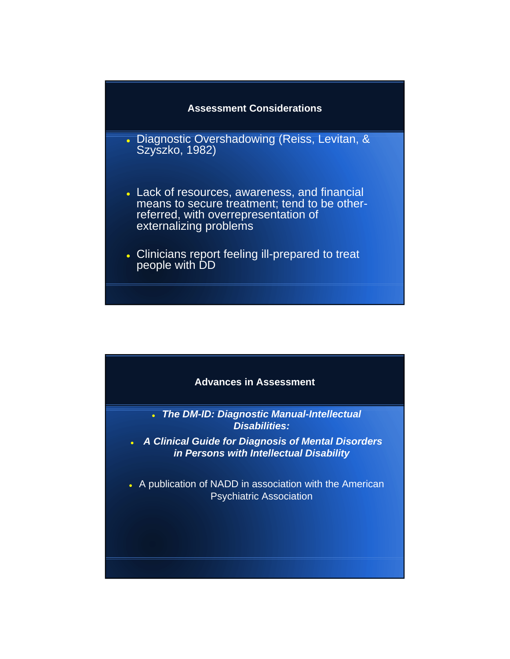

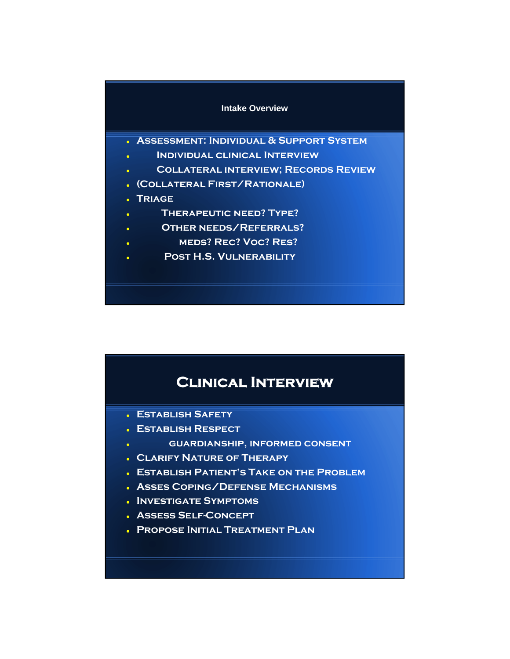#### **Intake Overview**

- **Assessment: Individual & Support System**
- **Individual clinical Interview**
- **Collateral interview; Records Review**
- **(Collateral First/Rationale)**
- **Triage**
- **Therapeutic need? Type?**
- **Other needs/Referrals?**
- **meds? Rec? Voc? Res?**
- **Post H.S. Vulnerability**

# **Clinical Interview**

- **Establish Safety**
- **Establish Respect**
- **guardianship, informed consent**
- **Clarify Nature of Therapy**
- **Establish Patient's Take on the Problem**
- **Asses Coping/Defense Mechanisms**
- **Investigate Symptoms**
- **Assess Self-Concept**
- **Propose Initial Treatment Plan**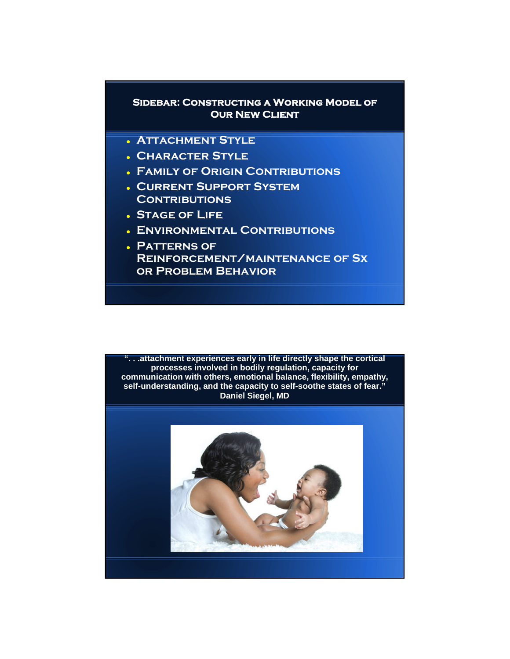# **Sidebar: Constructing a Working Model of OUR NEW CLIENT**

- **Attachment Style**
- **Character Style**
- **Family of Origin Contributions**
- **Current Support System CONTRIBUTIONS**
- **Stage of Life**
- **Environmental Contributions**
- **Patterns of Reinforcement/maintenance of Sx or Problem Behavior**

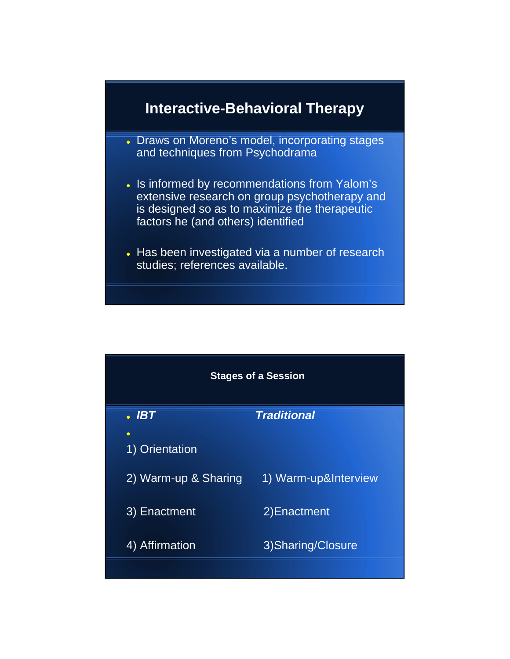

- Draws on Moreno's model, incorporating stages and techniques from Psychodrama
- . Is informed by recommendations from Yalom's extensive research on group psychotherapy and is designed so as to maximize the therapeutic factors he (and others) identified
- Has been investigated via a number of research studies; references available.

| <b>Stages of a Session</b> |                             |                      |
|----------------------------|-----------------------------|----------------------|
|                            | $\overline{\cdot}$ IBT      | <b>Traditional</b>   |
|                            | $\bullet$<br>1) Orientation |                      |
|                            | 2) Warm-up & Sharing        | 1) Warm-up&Interview |
|                            | 3) Enactment                | 2) Enactment         |
|                            | 4) Affirmation              | 3) Sharing/Closure   |
|                            |                             |                      |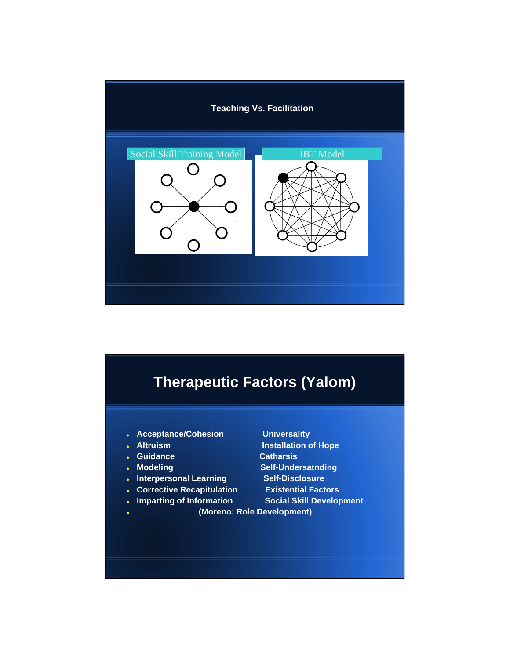

# **Therapeutic Factors (Yalom)**

- **Acceptance/Cohesion Universality**
- 
- 
- 
- 
- **Corrective Recapitulation Existential Factors**
- 

**Altruism Communist Communist Communist Communist Communist Communist Communist Communist Communist Communist Communist Communist Communist Communist Communist Communist Communist Communist Communist Communist Communist Co Guidance Catharsis Modeling Self-Undersatnding Interpersonal Learning Self-Disclosure** 

- **Imparting of Information Social Skill Development** 
	- **(Moreno: Role Development)**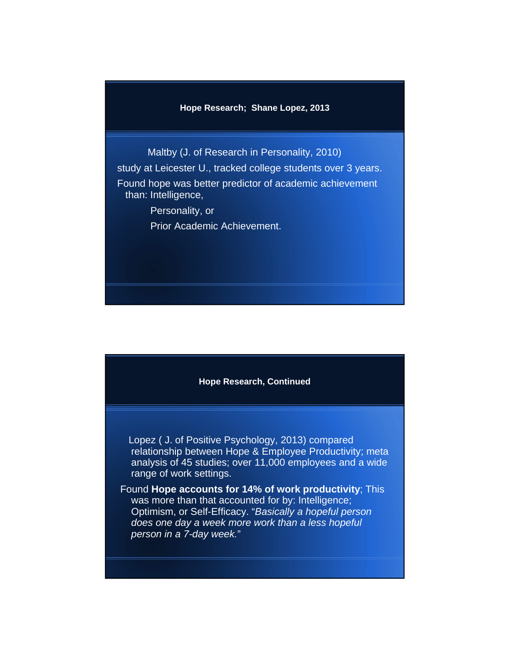#### **Hope Research; Shane Lopez, 2013**

Maltby (J. of Research in Personality, 2010) study at Leicester U., tracked college students over 3 years. Found hope was better predictor of academic achievement than: Intelligence, Personality, or

Prior Academic Achievement.

#### **Hope Research, Continued**

Lopez ( J. of Positive Psychology, 2013) compared relationship between Hope & Employee Productivity; meta analysis of 45 studies; over 11,000 employees and a wide range of work settings.

Found **Hope accounts for 14% of work productivity**; This was more than that accounted for by: Intelligence; Optimism, or Self-Efficacy. "*Basically a hopeful person does one day a week more work than a less hopeful person in a 7-day week.*"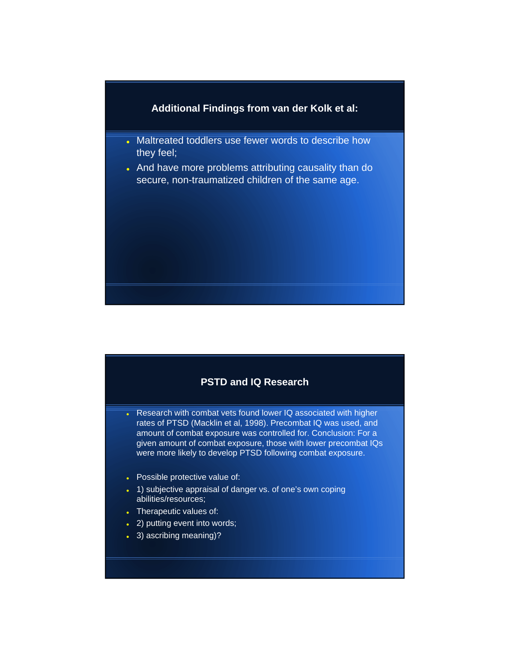# **Additional Findings from van der Kolk et al:**

- Maltreated toddlers use fewer words to describe how they feel;
- And have more problems attributing causality than do secure, non-traumatized children of the same age.

# **PSTD and IQ Research**

- Research with combat vets found lower IQ associated with higher rates of PTSD (Macklin et al, 1998). Precombat IQ was used, and amount of combat exposure was controlled for. Conclusion: For a given amount of combat exposure, those with lower precombat IQs were more likely to develop PTSD following combat exposure.
- Possible protective value of:
- 1) subjective appraisal of danger vs. of one's own coping abilities/resources;
- Therapeutic values of:
- 2) putting event into words;
- 3) ascribing meaning)?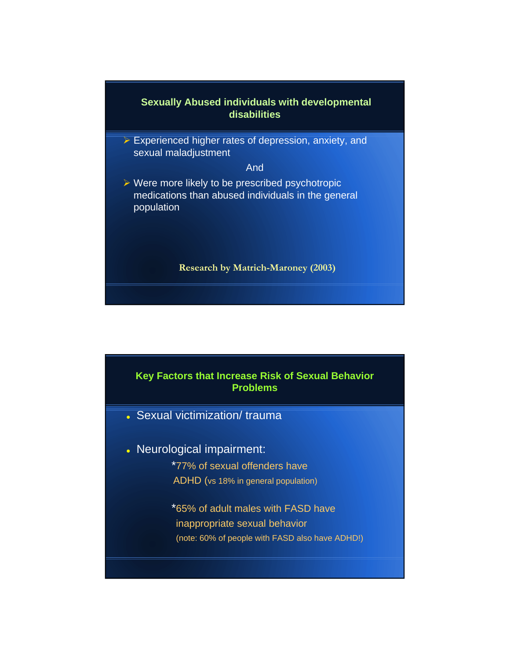

**Experienced higher rates of depression, anxiety, and** sexual maladjustment

And

 $\triangleright$  Were more likely to be prescribed psychotropic medications than abused individuals in the general population

**Research by Matrich-Maroney (2003)**



- Sexual victimization/ trauma
- Neurological impairment:
	- \*77% of sexual offenders have
	- ADHD (vs 18% in general population)
	- \*65% of adult males with FASD have inappropriate sexual behavior (note: 60% of people with FASD also have ADHD!)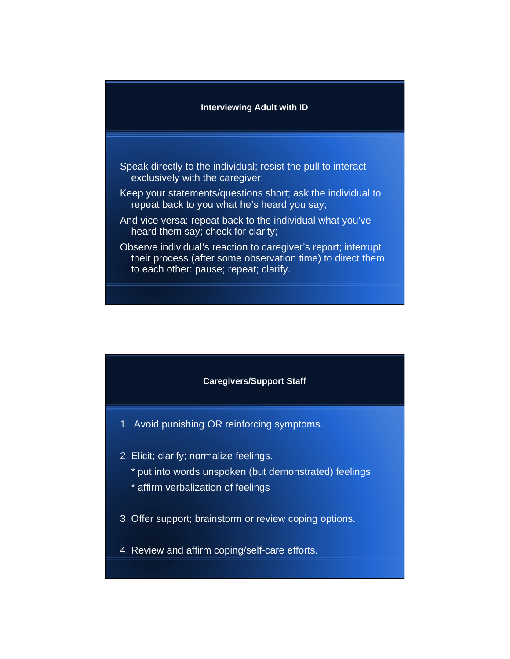#### **Interviewing Adult with ID**

- Speak directly to the individual; resist the pull to interact exclusively with the caregiver;
- Keep your statements/questions short; ask the individual to repeat back to you what he's heard you say;
- And vice versa: repeat back to the individual what you've heard them say; check for clarity;
- Observe individual's reaction to caregiver's report; interrupt their process (after some observation time) to direct them to each other: pause; repeat; clarify.



- 1. Avoid punishing OR reinforcing symptoms.
- 2. Elicit; clarify; normalize feelings.
	- \* put into words unspoken (but demonstrated) feelings
	- \* affirm verbalization of feelings
- 3. Offer support; brainstorm or review coping options.
- 4. Review and affirm coping/self-care efforts.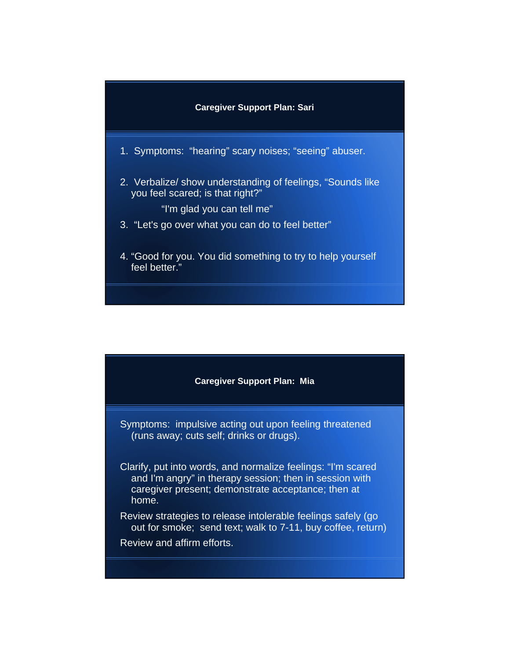

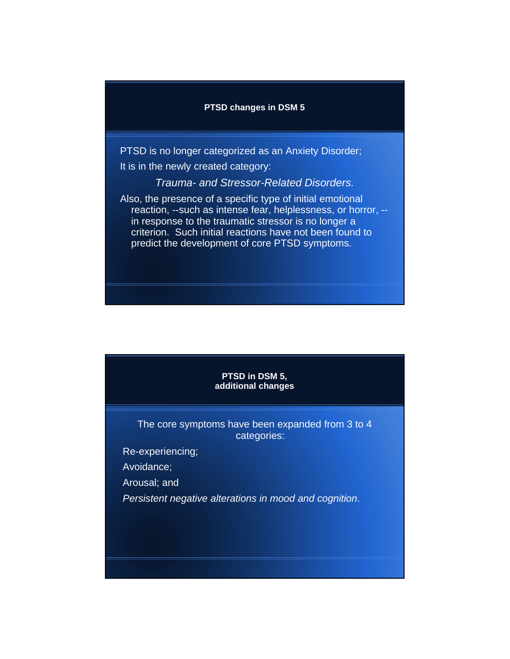#### **PTSD changes in DSM 5**

PTSD is no longer categorized as an Anxiety Disorder; It is in the newly created category:

*Trauma- and Stressor-Related Disorders.*

Also, the presence of a specific type of initial emotional reaction, --such as intense fear, helplessness, or horror, - in response to the traumatic stressor is no longer a criterion. Such initial reactions have not been found to predict the development of core PTSD symptoms.

#### **PTSD in DSM 5, additional changes**

The core symptoms have been expanded from 3 to 4 categories:

Re-experiencing;

Avoidance;

Arousal; and

*Persistent negative alterations in mood and cognition*.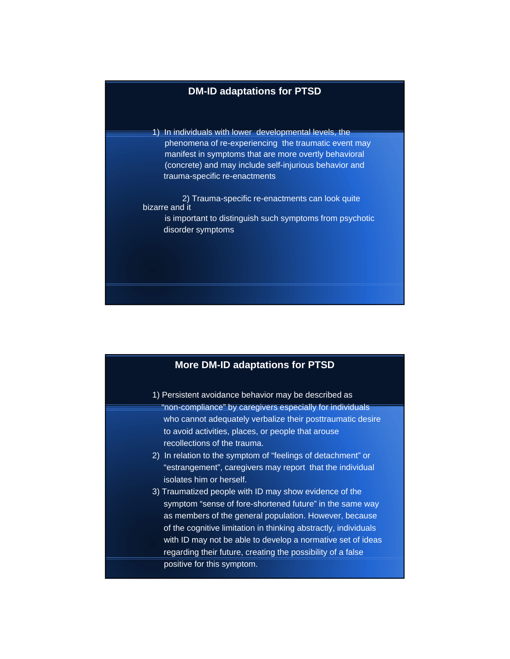## **DM-ID adaptations for PTSD**

1) In individuals with lower developmental levels, the phenomena of re-experiencing the traumatic event may manifest in symptoms that are more overtly behavioral (concrete) and may include self-injurious behavior and trauma-specific re-enactments

2) Trauma-specific re-enactments can look quite bizarre and it is important to distinguish such symptoms from psychotic disorder symptoms

# **More DM-ID adaptations for PTSD** 1) Persistent avoidance behavior may be described as "non-compliance" by caregivers especially for individuals who cannot adequately verbalize their posttraumatic desire to avoid activities, places, or people that arouse recollections of the trauma. 2) In relation to the symptom of "feelings of detachment" or "estrangement", caregivers may report that the individual isolates him or herself. 3) Traumatized people with ID may show evidence of the symptom "sense of fore-shortened future" in the same way as members of the general population. However, because of the cognitive limitation in thinking abstractly, individuals with ID may not be able to develop a normative set of ideas regarding their future, creating the possibility of a false positive for this symptom.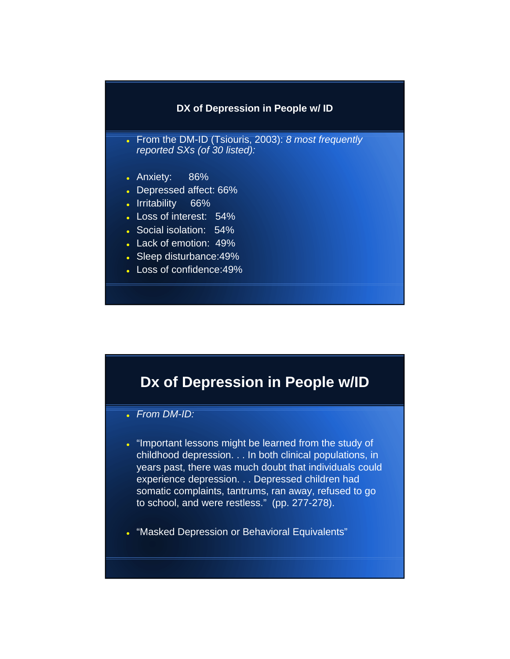# **DX of Depression in People w/ ID**

- From the DM-ID (Tsiouris, 2003): *8 most frequently reported SXs (of 30 listed):*
- Anxiety: 86%
- Depressed affect: 66%
- Irritability 66%
- Loss of interest: 54%
- Social isolation: 54%
- Lack of emotion: 49%
- Sleep disturbance:49%
- Loss of confidence:49%

# **Dx of Depression in People w/ID**

- *From DM-ID:*
- . "Important lessons might be learned from the study of childhood depression. . . In both clinical populations, in years past, there was much doubt that individuals could experience depression. . . Depressed children had somatic complaints, tantrums, ran away, refused to go to school, and were restless." (pp. 277-278).
- "Masked Depression or Behavioral Equivalents"